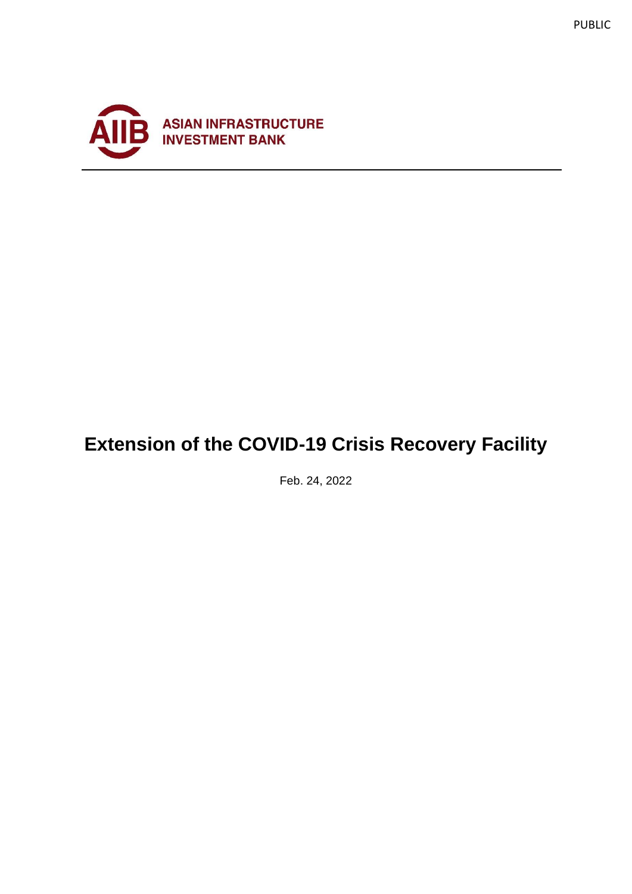



# **Extension of the COVID-19 Crisis Recovery Facility**

Feb. 24, 2022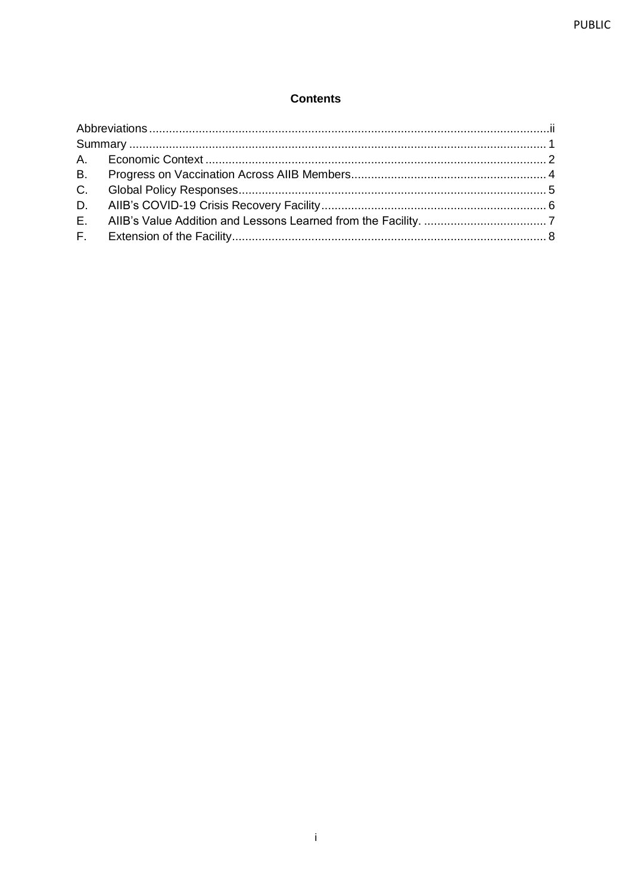#### **Contents**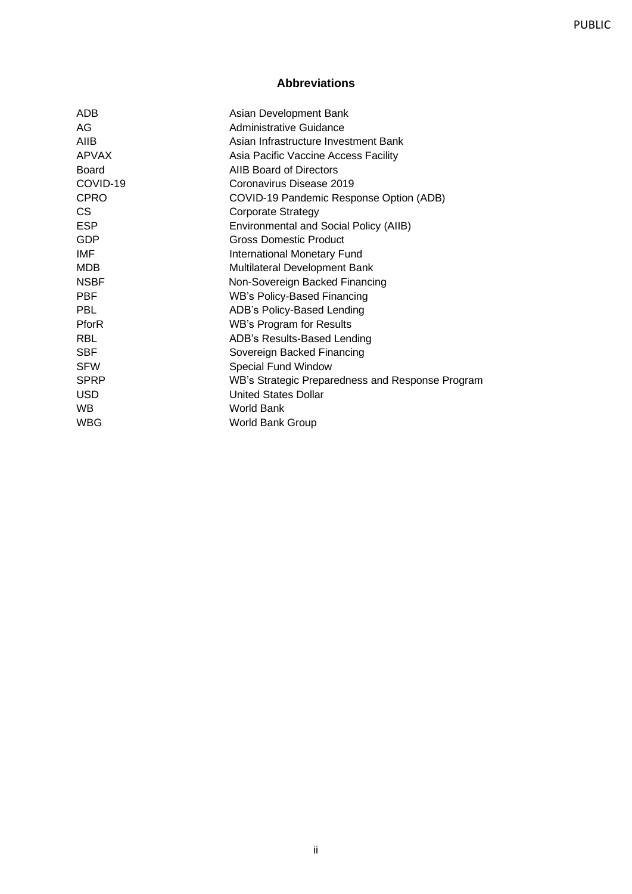## **Abbreviations**

<span id="page-2-0"></span>

| ADB          | Asian Development Bank                           |
|--------------|--------------------------------------------------|
| AG           | Administrative Guidance                          |
| AIIB         | Asian Infrastructure Investment Bank             |
| <b>APVAX</b> | Asia Pacific Vaccine Access Facility             |
| <b>Board</b> | AIIB Board of Directors                          |
| COVID-19     | Coronavirus Disease 2019                         |
| <b>CPRO</b>  | COVID-19 Pandemic Response Option (ADB)          |
| CS.          | <b>Corporate Strategy</b>                        |
| <b>ESP</b>   | Environmental and Social Policy (AIIB)           |
| GDP          | <b>Gross Domestic Product</b>                    |
| IMF          | International Monetary Fund                      |
| MDB          | Multilateral Development Bank                    |
| <b>NSBF</b>  | Non-Sovereign Backed Financing                   |
| <b>PBF</b>   | WB's Policy-Based Financing                      |
| PBL          | ADB's Policy-Based Lending                       |
| PforR        | <b>WB's Program for Results</b>                  |
| <b>RBL</b>   | ADB's Results-Based Lending                      |
| <b>SBF</b>   | Sovereign Backed Financing                       |
| <b>SFW</b>   | <b>Special Fund Window</b>                       |
| <b>SPRP</b>  | WB's Strategic Preparedness and Response Program |
| USD          | <b>United States Dollar</b>                      |
| WB.          | World Bank                                       |
| WBG          | <b>World Bank Group</b>                          |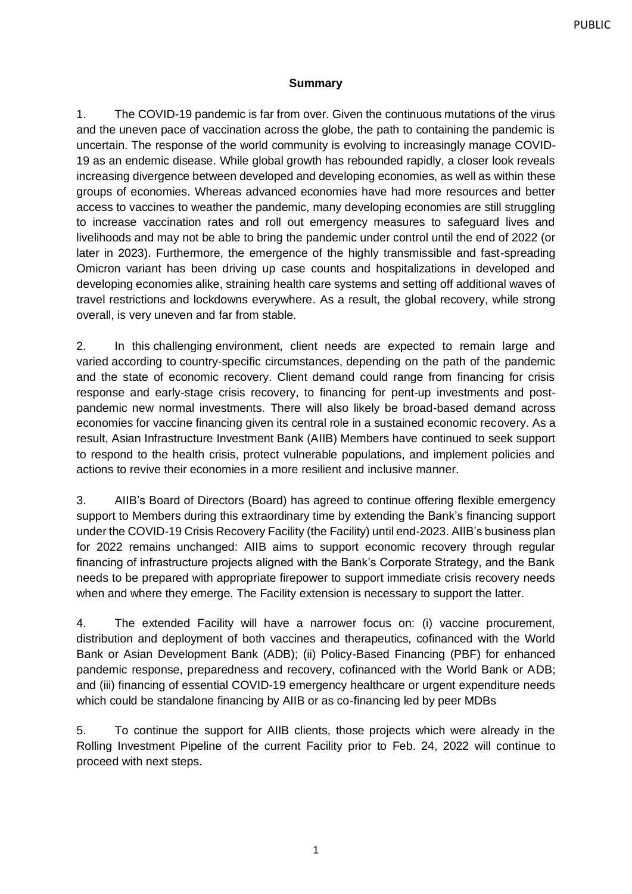#### **Summary**

<span id="page-3-0"></span>1. The COVID-19 pandemic is far from over. Given the continuous mutations of the virus and the uneven pace of vaccination across the globe, the path to containing the pandemic is uncertain. The response of the world community is evolving to increasingly manage COVID-19 as an endemic disease. While global growth has rebounded rapidly, a closer look reveals increasing divergence between developed and developing economies, as well as within these groups of economies. Whereas advanced economies have had more resources and better access to vaccines to weather the pandemic, many developing economies are still struggling to increase vaccination rates and roll out emergency measures to safeguard lives and livelihoods and may not be able to bring the pandemic under control until the end of 2022 (or later in 2023). Furthermore, the emergence of the highly transmissible and fast-spreading Omicron variant has been driving up case counts and hospitalizations in developed and developing economies alike, straining health care systems and setting off additional waves of travel restrictions and lockdowns everywhere. As a result, the global recovery, while strong overall, is very uneven and far from stable.

2. In this challenging environment, client needs are expected to remain large and varied according to country-specific circumstances, depending on the path of the pandemic and the state of economic recovery. Client demand could range from financing for crisis response and early-stage crisis recovery, to financing for pent-up investments and postpandemic new normal investments. There will also likely be broad-based demand across economies for vaccine financing given its central role in a sustained economic recovery. As a result, Asian Infrastructure Investment Bank (AIIB) Members have continued to seek support to respond to the health crisis, protect vulnerable populations, and implement policies and actions to revive their economies in a more resilient and inclusive manner.

3. AIIB's Board of Directors (Board) has agreed to continue offering flexible emergency support to Members during this extraordinary time by extending the Bank's financing support under the COVID-19 Crisis Recovery Facility (the Facility) until end-2023. AIIB's business plan for 2022 remains unchanged: AIIB aims to support economic recovery through regular financing of infrastructure projects aligned with the Bank's Corporate Strategy, and the Bank needs to be prepared with appropriate firepower to support immediate crisis recovery needs when and where they emerge. The Facility extension is necessary to support the latter.

4. The extended Facility will have a narrower focus on: (i) vaccine procurement, distribution and deployment of both vaccines and therapeutics, cofinanced with the World Bank or Asian Development Bank (ADB); (ii) Policy-Based Financing (PBF) for enhanced pandemic response, preparedness and recovery, cofinanced with the World Bank or ADB; and (iii) financing of essential COVID-19 emergency healthcare or urgent expenditure needs which could be standalone financing by AIIB or as co-financing led by peer MDBs

5. To continue the support for AIIB clients, those projects which were already in the Rolling Investment Pipeline of the current Facility prior to Feb. 24, 2022 will continue to proceed with next steps.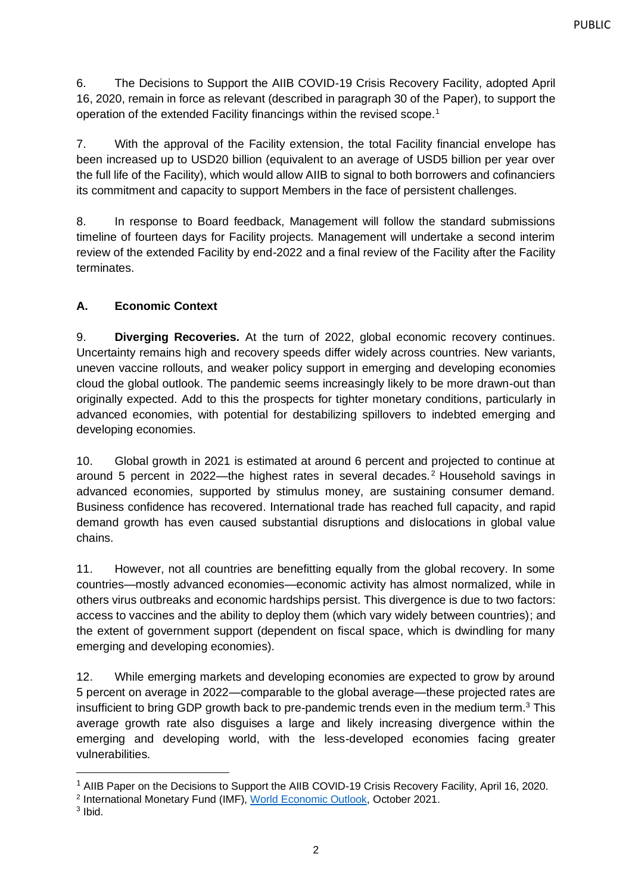6. The Decisions to Support the AIIB COVID-19 Crisis Recovery Facility, adopted April 16, 2020, remain in force as relevant (described in paragraph 30 of the Paper), to support the operation of the extended Facility financings within the revised scope.<sup>1</sup>

7. With the approval of the Facility extension, the total Facility financial envelope has been increased up to USD20 billion (equivalent to an average of USD5 billion per year over the full life of the Facility), which would allow AIIB to signal to both borrowers and cofinanciers its commitment and capacity to support Members in the face of persistent challenges.

8. In response to Board feedback, Management will follow the standard submissions timeline of fourteen days for Facility projects. Management will undertake a second interim review of the extended Facility by end-2022 and a final review of the Facility after the Facility terminates.

## <span id="page-4-0"></span>**A. Economic Context**

9. **Diverging Recoveries***.* At the turn of 2022, global economic recovery continues. Uncertainty remains high and recovery speeds differ widely across countries. New variants, uneven vaccine rollouts, and weaker policy support in emerging and developing economies cloud the global outlook. The pandemic seems increasingly likely to be more drawn-out than originally expected. Add to this the prospects for tighter monetary conditions, particularly in advanced economies, with potential for destabilizing spillovers to indebted emerging and developing economies.

10. Global growth in 2021 is estimated at around 6 percent and projected to continue at around 5 percent in 2022—the highest rates in several decades.<sup>2</sup> Household savings in advanced economies, supported by stimulus money, are sustaining consumer demand. Business confidence has recovered. International trade has reached full capacity, and rapid demand growth has even caused substantial disruptions and dislocations in global value chains.

11. However, not all countries are benefitting equally from the global recovery. In some countries—mostly advanced economies—economic activity has almost normalized, while in others virus outbreaks and economic hardships persist. This divergence is due to two factors: access to vaccines and the ability to deploy them (which vary widely between countries); and the extent of government support (dependent on fiscal space, which is dwindling for many emerging and developing economies).

12. While emerging markets and developing economies are expected to grow by around 5 percent on average in 2022—comparable to the global average—these projected rates are insufficient to bring GDP growth back to pre-pandemic trends even in the medium term.<sup>3</sup> This average growth rate also disguises a large and likely increasing divergence within the emerging and developing world, with the less-developed economies facing greater vulnerabilities.

<sup>&</sup>lt;sup>1</sup> AIIB Paper on the Decisions to Support the AIIB COVID-19 Crisis Recovery Facility, April 16, 2020.

<sup>&</sup>lt;sup>2</sup> International Monetary Fund (IMF), [World Economic Outlook,](https://www.imf.org/en/Publications/WEO/Issues/2021/10/12/world-economic-outlook-october-2021) October 2021.

<sup>3</sup> Ibid.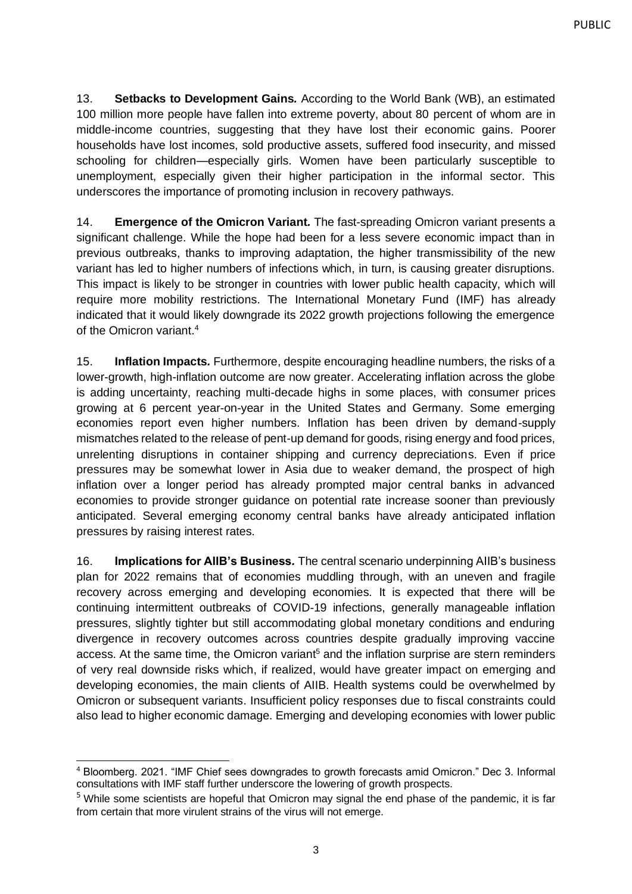13. **Setbacks to Development Gains***.* According to the World Bank (WB), an estimated 100 million more people have fallen into extreme poverty, about 80 percent of whom are in middle-income countries, suggesting that they have lost their economic gains. Poorer households have lost incomes, sold productive assets, suffered food insecurity, and missed schooling for children—especially girls. Women have been particularly susceptible to unemployment, especially given their higher participation in the informal sector. This underscores the importance of promoting inclusion in recovery pathways.

14. **Emergence of the Omicron Variant***.* The fast-spreading Omicron variant presents a significant challenge. While the hope had been for a less severe economic impact than in previous outbreaks, thanks to improving adaptation, the higher transmissibility of the new variant has led to higher numbers of infections which, in turn, is causing greater disruptions. This impact is likely to be stronger in countries with lower public health capacity, which will require more mobility restrictions. The International Monetary Fund (IMF) has already indicated that it would likely downgrade its 2022 growth projections following the emergence of the Omicron variant.<sup>4</sup>

15. **Inflation Impacts***.* Furthermore, despite encouraging headline numbers, the risks of a lower-growth, high-inflation outcome are now greater. Accelerating inflation across the globe is adding uncertainty, reaching multi-decade highs in some places, with consumer prices growing at 6 percent year-on-year in the United States and Germany. Some emerging economies report even higher numbers. Inflation has been driven by demand-supply mismatches related to the release of pent-up demand for goods, rising energy and food prices, unrelenting disruptions in container shipping and currency depreciations. Even if price pressures may be somewhat lower in Asia due to weaker demand, the prospect of high inflation over a longer period has already prompted major central banks in advanced economies to provide stronger guidance on potential rate increase sooner than previously anticipated. Several emerging economy central banks have already anticipated inflation pressures by raising interest rates.

16. **Implications for AIIB's Business***.* The central scenario underpinning AIIB's business plan for 2022 remains that of economies muddling through, with an uneven and fragile recovery across emerging and developing economies. It is expected that there will be continuing intermittent outbreaks of COVID-19 infections, generally manageable inflation pressures, slightly tighter but still accommodating global monetary conditions and enduring divergence in recovery outcomes across countries despite gradually improving vaccine access. At the same time, the Omicron variant<sup>5</sup> and the inflation surprise are stern reminders of very real downside risks which, if realized, would have greater impact on emerging and developing economies, the main clients of AIIB. Health systems could be overwhelmed by Omicron or subsequent variants. Insufficient policy responses due to fiscal constraints could also lead to higher economic damage. Emerging and developing economies with lower public

<sup>4</sup> Bloomberg. 2021. "IMF Chief sees downgrades to growth forecasts amid Omicron." Dec 3. Informal consultations with IMF staff further underscore the lowering of growth prospects.

<sup>5</sup> While some scientists are hopeful that Omicron may signal the end phase of the pandemic, it is far from certain that more virulent strains of the virus will not emerge.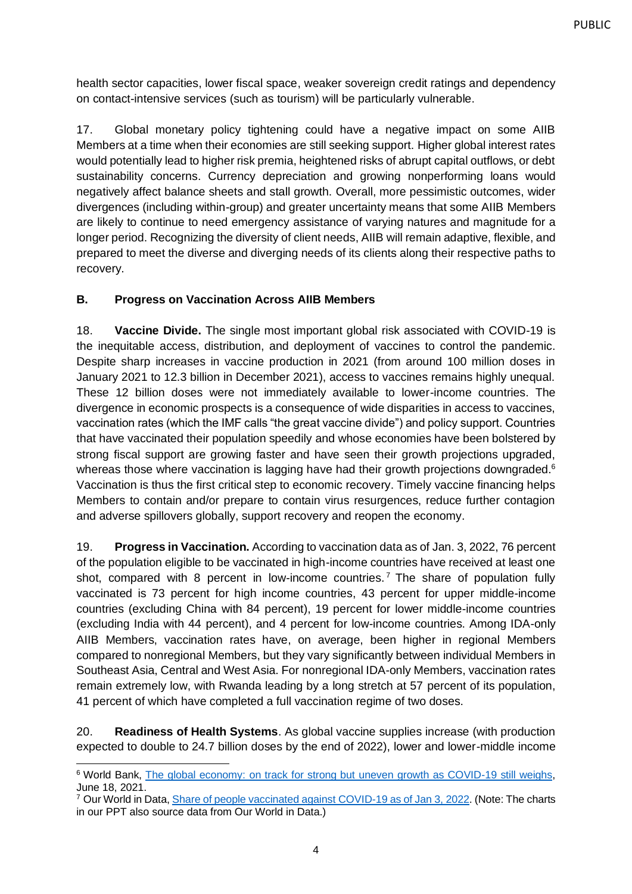health sector capacities, lower fiscal space, weaker sovereign credit ratings and dependency on contact-intensive services (such as tourism) will be particularly vulnerable.

17. Global monetary policy tightening could have a negative impact on some AIIB Members at a time when their economies are still seeking support. Higher global interest rates would potentially lead to higher risk premia, heightened risks of abrupt capital outflows, or debt sustainability concerns. Currency depreciation and growing nonperforming loans would negatively affect balance sheets and stall growth. Overall, more pessimistic outcomes, wider divergences (including within-group) and greater uncertainty means that some AIIB Members are likely to continue to need emergency assistance of varying natures and magnitude for a longer period. Recognizing the diversity of client needs, AIIB will remain adaptive, flexible, and prepared to meet the diverse and diverging needs of its clients along their respective paths to recovery.

### <span id="page-6-0"></span>**B. Progress on Vaccination Across AIIB Members**

18. **Vaccine Divide.** The single most important global risk associated with COVID-19 is the inequitable access, distribution, and deployment of vaccines to control the pandemic. Despite sharp increases in vaccine production in 2021 (from around 100 million doses in January 2021 to 12.3 billion in December 2021), access to vaccines remains highly unequal. These 12 billion doses were not immediately available to lower-income countries. The divergence in economic prospects is a consequence of wide disparities in access to vaccines, vaccination rates (which the IMF calls "the great vaccine divide") and policy support. Countries that have vaccinated their population speedily and whose economies have been bolstered by strong fiscal support are growing faster and have seen their growth projections upgraded, whereas those where vaccination is lagging have had their growth projections downgraded.<sup>6</sup> Vaccination is thus the first critical step to economic recovery. Timely vaccine financing helps Members to contain and/or prepare to contain virus resurgences, reduce further contagion and adverse spillovers globally, support recovery and reopen the economy.

19. **Progress in Vaccination.** According to vaccination data as of Jan. 3, 2022, 76 percent of the population eligible to be vaccinated in high-income countries have received at least one shot, compared with 8 percent in low-income countries.<sup>7</sup> The share of population fully vaccinated is 73 percent for high income countries, 43 percent for upper middle-income countries (excluding China with 84 percent), 19 percent for lower middle-income countries (excluding India with 44 percent), and 4 percent for low-income countries. Among IDA-only AIIB Members, vaccination rates have, on average, been higher in regional Members compared to nonregional Members, but they vary significantly between individual Members in Southeast Asia, Central and West Asia. For nonregional IDA-only Members, vaccination rates remain extremely low, with Rwanda leading by a long stretch at 57 percent of its population, 41 percent of which have completed a full vaccination regime of two doses.

20. **Readiness of Health Systems**. As global vaccine supplies increase (with production expected to double to 24.7 billion doses by the end of 2022), lower and lower-middle income

<sup>&</sup>lt;sup>6</sup> World Bank, [The global economy: on track for strong but uneven growth as COVID-19 still weighs,](https://www.worldbank.org/en/news/feature/2021/06/08/the-global-economy-on-track-for-strong-but-uneven-growth-as-covid-19-still-weighs) June 18, 2021.

<sup>&</sup>lt;sup>7</sup> Our World in Data, [Share of people vaccinated against COVID-19 as of Jan 3,](https://ourworldindata.org/covid-vaccinations) 2022. (Note: The charts in our PPT also source data from Our World in Data.)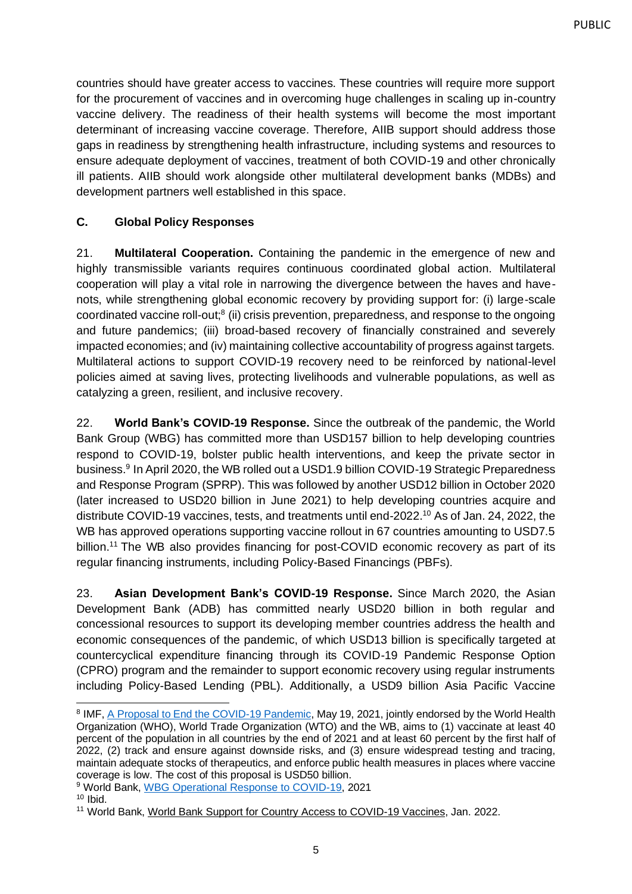countries should have greater access to vaccines. These countries will require more support for the procurement of vaccines and in overcoming huge challenges in scaling up in-country vaccine delivery. The readiness of their health systems will become the most important determinant of increasing vaccine coverage. Therefore, AIIB support should address those gaps in readiness by strengthening health infrastructure, including systems and resources to ensure adequate deployment of vaccines, treatment of both COVID-19 and other chronically ill patients. AIIB should work alongside other multilateral development banks (MDBs) and development partners well established in this space.

## <span id="page-7-0"></span>**C. Global Policy Responses**

21. **Multilateral Cooperation.** Containing the pandemic in the emergence of new and highly transmissible variants requires continuous coordinated global action. Multilateral cooperation will play a vital role in narrowing the divergence between the haves and havenots, while strengthening global economic recovery by providing support for: (i) large-scale coordinated vaccine roll-out;<sup>8</sup> (ii) crisis prevention, preparedness, and response to the ongoing and future pandemics; (iii) broad-based recovery of financially constrained and severely impacted economies; and (iv) maintaining collective accountability of progress against targets. Multilateral actions to support COVID-19 recovery need to be reinforced by national-level policies aimed at saving lives, protecting livelihoods and vulnerable populations, as well as catalyzing a green, resilient, and inclusive recovery.

22. **World Bank's COVID-19 Response.** Since the outbreak of the pandemic, the World Bank Group (WBG) has committed more than USD157 billion to help developing countries respond to COVID-19, bolster public health interventions, and keep the private sector in business.<sup>9</sup> In April 2020, the WB rolled out a USD1.9 billion COVID-19 Strategic Preparedness and Response Program (SPRP). This was followed by another USD12 billion in October 2020 (later increased to USD20 billion in June 2021) to help developing countries acquire and distribute COVID-19 vaccines, tests, and treatments until end-2022.<sup>10</sup> As of Jan. 24, 2022, the WB has approved operations supporting vaccine rollout in 67 countries amounting to USD7.5 billion.<sup>11</sup> The WB also provides financing for post-COVID economic recovery as part of its regular financing instruments, including Policy-Based Financings (PBFs).

23. **Asian Development Bank's COVID-19 Response.** Since March 2020, the Asian Development Bank (ADB) has committed nearly USD20 billion in both regular and concessional resources to support its developing member countries address the health and economic consequences of the pandemic, of which USD13 billion is specifically targeted at countercyclical expenditure financing through its COVID-19 Pandemic Response Option (CPRO) program and the remainder to support economic recovery using regular instruments including Policy-Based Lending (PBL). Additionally, a USD9 billion Asia Pacific Vaccine

<sup>&</sup>lt;sup>8</sup> IMF, [A Proposal to End the COVID-19 Pandemic,](https://www.imf.org/en/Publications/Staff-Discussion-Notes/Issues/2021/05/19/A-Proposal-to-End-the-COVID-19-Pandemic-460263) May 19, 2021, jointly endorsed by the World Health Organization (WHO), World Trade Organization (WTO) and the WB, aims to (1) vaccinate at least 40 percent of the population in all countries by the end of 2021 and at least 60 percent by the first half of 2022, (2) track and ensure against downside risks, and (3) ensure widespread testing and tracing, maintain adequate stocks of therapeutics, and enforce public health measures in places where vaccine coverage is low. The cost of this proposal is USD50 billion.

<sup>9</sup> World Bank, [WBG Operational Response to COVID-19,](https://www.worldbank.org/en/about/what-we-do/brief/world-bank-group-operational-response-covid-19-coronavirus-projects-list) 2021

 $10$  Ibid.

<sup>11</sup> World Bank, [World Bank Support for Country Access to COVID-19 Vaccines,](https://www.worldbank.org/en/who-we-are/news/coronavirus-covid19/world-bank-support-for-country-access-to-covid-19-vaccines) Jan. 2022.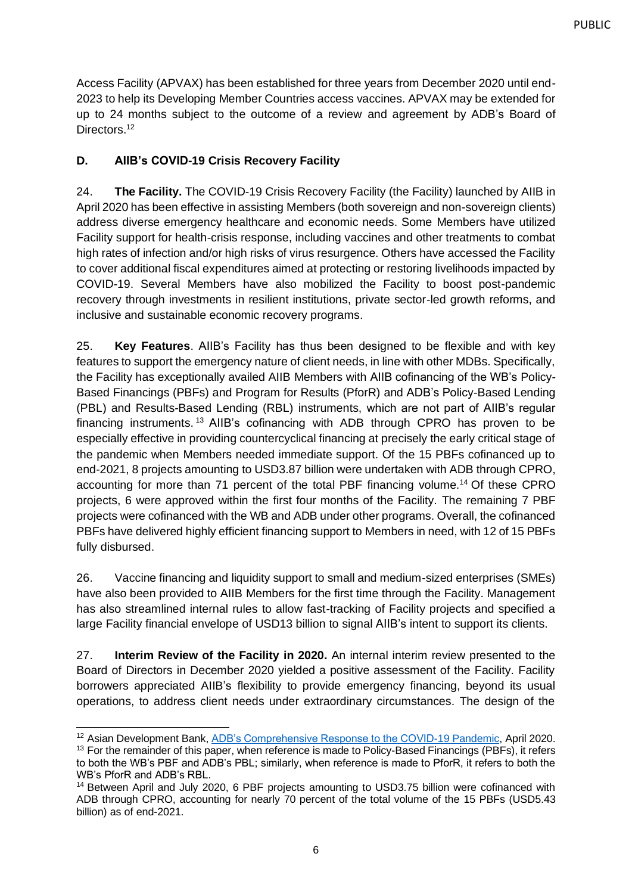Access Facility (APVAX) has been established for three years from December 2020 until end-2023 to help its Developing Member Countries access vaccines. APVAX may be extended for up to 24 months subject to the outcome of a review and agreement by ADB's Board of Directors.<sup>12</sup>

## <span id="page-8-0"></span>**D. AIIB's COVID-19 Crisis Recovery Facility**

24. **The Facility.** The COVID-19 Crisis Recovery Facility (the Facility) launched by AIIB in April 2020 has been effective in assisting Members (both sovereign and non-sovereign clients) address diverse emergency healthcare and economic needs. Some Members have utilized Facility support for health-crisis response, including vaccines and other treatments to combat high rates of infection and/or high risks of virus resurgence. Others have accessed the Facility to cover additional fiscal expenditures aimed at protecting or restoring livelihoods impacted by COVID-19. Several Members have also mobilized the Facility to boost post-pandemic recovery through investments in resilient institutions, private sector-led growth reforms, and inclusive and sustainable economic recovery programs.

25. **Key Features**. AIIB's Facility has thus been designed to be flexible and with key features to support the emergency nature of client needs, in line with other MDBs. Specifically, the Facility has exceptionally availed AIIB Members with AIIB cofinancing of the WB's Policy-Based Financings (PBFs) and Program for Results (PforR) and ADB's Policy-Based Lending (PBL) and Results-Based Lending (RBL) instruments, which are not part of AIIB's regular financing instruments. <sup>13</sup> AIIB's cofinancing with ADB through CPRO has proven to be especially effective in providing countercyclical financing at precisely the early critical stage of the pandemic when Members needed immediate support. Of the 15 PBFs cofinanced up to end-2021, 8 projects amounting to USD3.87 billion were undertaken with ADB through CPRO, accounting for more than 71 percent of the total PBF financing volume.<sup>14</sup> Of these CPRO projects, 6 were approved within the first four months of the Facility. The remaining 7 PBF projects were cofinanced with the WB and ADB under other programs. Overall, the cofinanced PBFs have delivered highly efficient financing support to Members in need, with 12 of 15 PBFs fully disbursed.

26. Vaccine financing and liquidity support to small and medium-sized enterprises (SMEs) have also been provided to AIIB Members for the first time through the Facility. Management has also streamlined internal rules to allow fast-tracking of Facility projects and specified a large Facility financial envelope of USD13 billion to signal AIIB's intent to support its clients.

27. **Interim Review of the Facility in 2020.** An internal interim review presented to the Board of Directors in December 2020 yielded a positive assessment of the Facility. Facility borrowers appreciated AIIB's flexibility to provide emergency financing, beyond its usual operations, to address client needs under extraordinary circumstances. The design of the

<sup>&</sup>lt;sup>12</sup> Asian Development Bank, [ADB's Comprehensive Response to the COVID-19 Pandemic,](https://www.adb.org/sites/default/files/institutional-document/579616/adbs-comprehensive-response-covid-19-pandemic-redacted-version.pdf) April 2020.

<sup>&</sup>lt;sup>13</sup> For the remainder of this paper, when reference is made to Policy-Based Financings (PBFs), it refers to both the WB's PBF and ADB's PBL; similarly, when reference is made to PforR, it refers to both the WB's PforR and ADB's RBL.

<sup>&</sup>lt;sup>14</sup> Between April and July 2020, 6 PBF projects amounting to USD3.75 billion were cofinanced with ADB through CPRO, accounting for nearly 70 percent of the total volume of the 15 PBFs (USD5.43 billion) as of end-2021.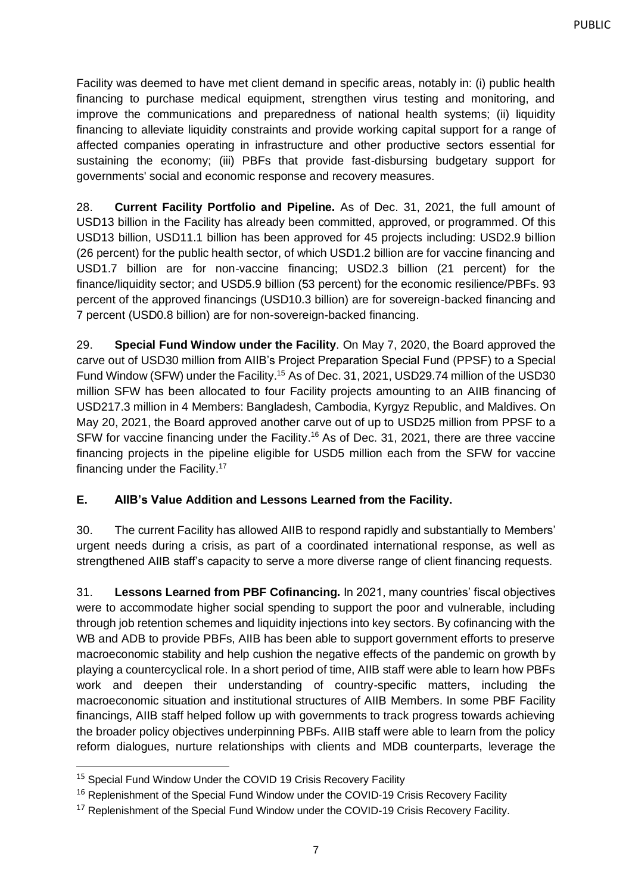Facility was deemed to have met client demand in specific areas, notably in: (i) public health financing to purchase medical equipment, strengthen virus testing and monitoring, and improve the communications and preparedness of national health systems; (ii) liquidity financing to alleviate liquidity constraints and provide working capital support for a range of affected companies operating in infrastructure and other productive sectors essential for sustaining the economy; (iii) PBFs that provide fast-disbursing budgetary support for governments' social and economic response and recovery measures.

28. **Current Facility Portfolio and Pipeline.** As of Dec. 31, 2021, the full amount of USD13 billion in the Facility has already been committed, approved, or programmed. Of this USD13 billion, USD11.1 billion has been approved for 45 projects including: USD2.9 billion (26 percent) for the public health sector, of which USD1.2 billion are for vaccine financing and USD1.7 billion are for non-vaccine financing; USD2.3 billion (21 percent) for the finance/liquidity sector; and USD5.9 billion (53 percent) for the economic resilience/PBFs. 93 percent of the approved financings (USD10.3 billion) are for sovereign-backed financing and 7 percent (USD0.8 billion) are for non-sovereign-backed financing.

29. **Special Fund Window under the Facility**. On May 7, 2020, the Board approved the carve out of USD30 million from AIIB's Project Preparation Special Fund (PPSF) to a Special Fund Window (SFW) under the Facility.<sup>15</sup> As of Dec. 31, 2021, USD29.74 million of the USD30 million SFW has been allocated to four Facility projects amounting to an AIIB financing of USD217.3 million in 4 Members: Bangladesh, Cambodia, Kyrgyz Republic, and Maldives. On May 20, 2021, the Board approved another carve out of up to USD25 million from PPSF to a SFW for vaccine financing under the Facility.<sup>16</sup> As of Dec. 31, 2021, there are three vaccine financing projects in the pipeline eligible for USD5 million each from the SFW for vaccine financing under the Facility.<sup>17</sup>

## <span id="page-9-0"></span>**E. AIIB's Value Addition and Lessons Learned from the Facility.**

30. The current Facility has allowed AIIB to respond rapidly and substantially to Members' urgent needs during a crisis, as part of a coordinated international response, as well as strengthened AIIB staff's capacity to serve a more diverse range of client financing requests.

31. **Lessons Learned from PBF Cofinancing.** In 2021, many countries' fiscal objectives were to accommodate higher social spending to support the poor and vulnerable, including through job retention schemes and liquidity injections into key sectors. By cofinancing with the WB and ADB to provide PBFs, AIIB has been able to support government efforts to preserve macroeconomic stability and help cushion the negative effects of the pandemic on growth by playing a countercyclical role. In a short period of time, AIIB staff were able to learn how PBFs work and deepen their understanding of country-specific matters, including the macroeconomic situation and institutional structures of AIIB Members. In some PBF Facility financings, AIIB staff helped follow up with governments to track progress towards achieving the broader policy objectives underpinning PBFs. AIIB staff were able to learn from the policy reform dialogues, nurture relationships with clients and MDB counterparts, leverage the

<sup>&</sup>lt;sup>15</sup> Special Fund Window Under the COVID 19 Crisis Recovery Facility

<sup>&</sup>lt;sup>16</sup> Replenishment of the Special Fund Window under the COVID-19 Crisis Recovery Facility

<sup>&</sup>lt;sup>17</sup> Replenishment of the Special Fund Window under the COVID-19 Crisis Recovery Facility.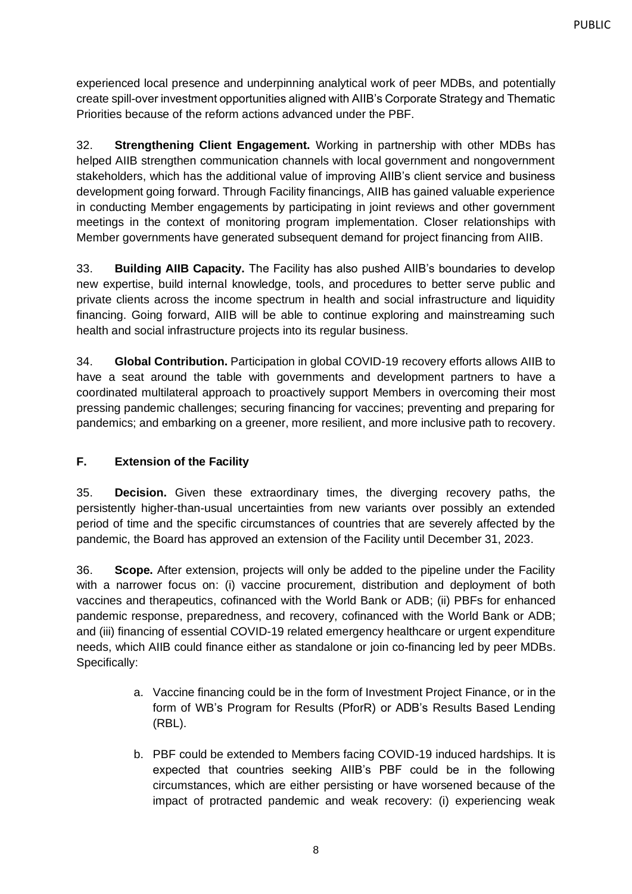experienced local presence and underpinning analytical work of peer MDBs, and potentially create spill-over investment opportunities aligned with AIIB's Corporate Strategy and Thematic Priorities because of the reform actions advanced under the PBF.

32. **Strengthening Client Engagement.** Working in partnership with other MDBs has helped AIIB strengthen communication channels with local government and nongovernment stakeholders, which has the additional value of improving AIIB's client service and business development going forward. Through Facility financings, AIIB has gained valuable experience in conducting Member engagements by participating in joint reviews and other government meetings in the context of monitoring program implementation. Closer relationships with Member governments have generated subsequent demand for project financing from AIIB.

33. **Building AIIB Capacity.** The Facility has also pushed AIIB's boundaries to develop new expertise, build internal knowledge, tools, and procedures to better serve public and private clients across the income spectrum in health and social infrastructure and liquidity financing. Going forward, AIIB will be able to continue exploring and mainstreaming such health and social infrastructure projects into its regular business.

34. **Global Contribution.** Participation in global COVID-19 recovery efforts allows AIIB to have a seat around the table with governments and development partners to have a coordinated multilateral approach to proactively support Members in overcoming their most pressing pandemic challenges; securing financing for vaccines; preventing and preparing for pandemics; and embarking on a greener, more resilient, and more inclusive path to recovery.

## <span id="page-10-0"></span>**F. Extension of the Facility**

35. **Decision.** Given these extraordinary times, the diverging recovery paths, the persistently higher-than-usual uncertainties from new variants over possibly an extended period of time and the specific circumstances of countries that are severely affected by the pandemic, the Board has approved an extension of the Facility until December 31, 2023.

36. **Scope.** After extension, projects will only be added to the pipeline under the Facility with a narrower focus on: (i) vaccine procurement, distribution and deployment of both vaccines and therapeutics, cofinanced with the World Bank or ADB; (ii) PBFs for enhanced pandemic response, preparedness, and recovery, cofinanced with the World Bank or ADB; and (iii) financing of essential COVID-19 related emergency healthcare or urgent expenditure needs, which AIIB could finance either as standalone or join co-financing led by peer MDBs. Specifically:

- a. Vaccine financing could be in the form of Investment Project Finance, or in the form of WB's Program for Results (PforR) or ADB's Results Based Lending (RBL).
- b. PBF could be extended to Members facing COVID-19 induced hardships. It is expected that countries seeking AIIB's PBF could be in the following circumstances, which are either persisting or have worsened because of the impact of protracted pandemic and weak recovery: (i) experiencing weak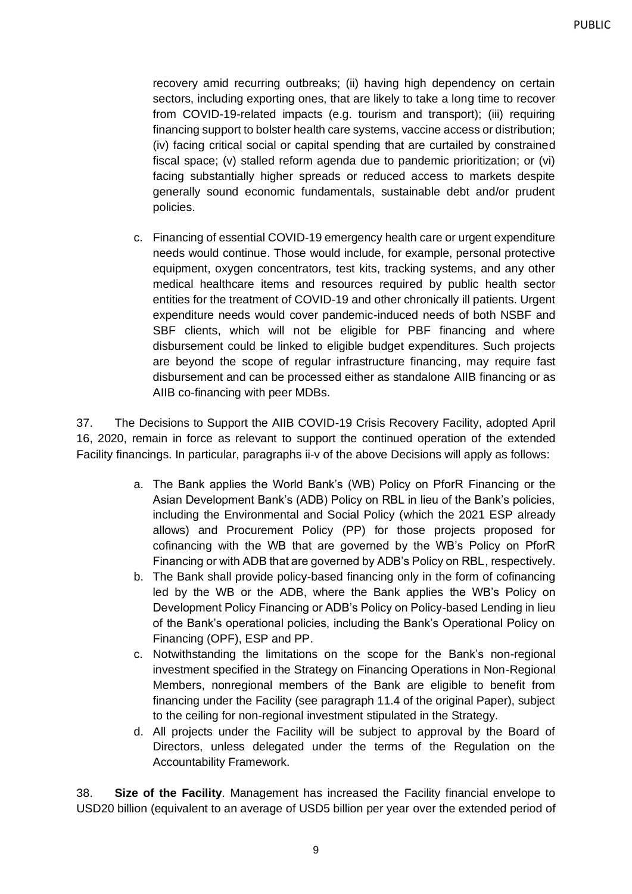recovery amid recurring outbreaks; (ii) having high dependency on certain sectors, including exporting ones, that are likely to take a long time to recover from COVID-19-related impacts (e.g. tourism and transport); (iii) requiring financing support to bolster health care systems, vaccine access or distribution; (iv) facing critical social or capital spending that are curtailed by constrained fiscal space; (v) stalled reform agenda due to pandemic prioritization; or (vi) facing substantially higher spreads or reduced access to markets despite generally sound economic fundamentals, sustainable debt and/or prudent policies.

c. Financing of essential COVID-19 emergency health care or urgent expenditure needs would continue. Those would include, for example, personal protective equipment, oxygen concentrators, test kits, tracking systems, and any other medical healthcare items and resources required by public health sector entities for the treatment of COVID-19 and other chronically ill patients. Urgent expenditure needs would cover pandemic-induced needs of both NSBF and SBF clients, which will not be eligible for PBF financing and where disbursement could be linked to eligible budget expenditures. Such projects are beyond the scope of regular infrastructure financing, may require fast disbursement and can be processed either as standalone AIIB financing or as AIIB co-financing with peer MDBs.

37. The Decisions to Support the AIIB COVID-19 Crisis Recovery Facility, adopted April 16, 2020, remain in force as relevant to support the continued operation of the extended Facility financings. In particular, paragraphs ii-v of the above Decisions will apply as follows:

- a. The Bank applies the World Bank's (WB) Policy on PforR Financing or the Asian Development Bank's (ADB) Policy on RBL in lieu of the Bank's policies, including the Environmental and Social Policy (which the 2021 ESP already allows) and Procurement Policy (PP) for those projects proposed for cofinancing with the WB that are governed by the WB's Policy on PforR Financing or with ADB that are governed by ADB's Policy on RBL, respectively.
- b. The Bank shall provide policy-based financing only in the form of cofinancing led by the WB or the ADB, where the Bank applies the WB's Policy on Development Policy Financing or ADB's Policy on Policy-based Lending in lieu of the Bank's operational policies, including the Bank's Operational Policy on Financing (OPF), ESP and PP.
- c. Notwithstanding the limitations on the scope for the Bank's non-regional investment specified in the Strategy on Financing Operations in Non-Regional Members, nonregional members of the Bank are eligible to benefit from financing under the Facility (see paragraph 11.4 of the original Paper), subject to the ceiling for non-regional investment stipulated in the Strategy.
- d. All projects under the Facility will be subject to approval by the Board of Directors, unless delegated under the terms of the Regulation on the Accountability Framework.

38. **Size of the Facility**. Management has increased the Facility financial envelope to USD20 billion (equivalent to an average of USD5 billion per year over the extended period of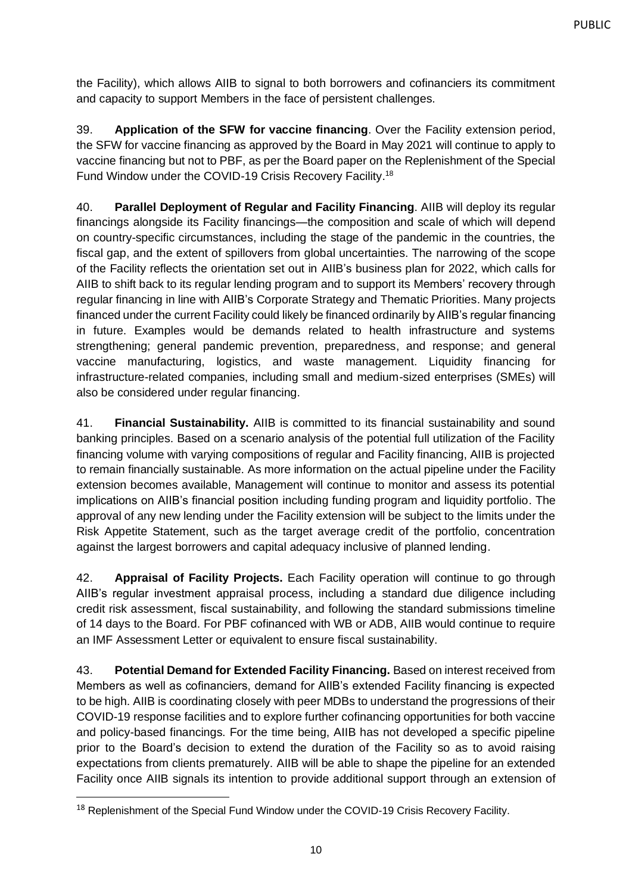the Facility), which allows AIIB to signal to both borrowers and cofinanciers its commitment and capacity to support Members in the face of persistent challenges.

39. **Application of the SFW for vaccine financing**. Over the Facility extension period, the SFW for vaccine financing as approved by the Board in May 2021 will continue to apply to vaccine financing but not to PBF, as per the Board paper on the Replenishment of the Special Fund Window under the COVID-19 Crisis Recovery Facility.<sup>18</sup>

40. **Parallel Deployment of Regular and Facility Financing**. AIIB will deploy its regular financings alongside its Facility financings—the composition and scale of which will depend on country-specific circumstances, including the stage of the pandemic in the countries, the fiscal gap, and the extent of spillovers from global uncertainties. The narrowing of the scope of the Facility reflects the orientation set out in AIIB's business plan for 2022, which calls for AIIB to shift back to its regular lending program and to support its Members' recovery through regular financing in line with AIIB's Corporate Strategy and Thematic Priorities. Many projects financed under the current Facility could likely be financed ordinarily by AIIB's regular financing in future. Examples would be demands related to health infrastructure and systems strengthening; general pandemic prevention, preparedness, and response; and general vaccine manufacturing, logistics, and waste management. Liquidity financing for infrastructure-related companies, including small and medium-sized enterprises (SMEs) will also be considered under regular financing.

41. **Financial Sustainability.** AIIB is committed to its financial sustainability and sound banking principles. Based on a scenario analysis of the potential full utilization of the Facility financing volume with varying compositions of regular and Facility financing, AIIB is projected to remain financially sustainable. As more information on the actual pipeline under the Facility extension becomes available, Management will continue to monitor and assess its potential implications on AIIB's financial position including funding program and liquidity portfolio. The approval of any new lending under the Facility extension will be subject to the limits under the Risk Appetite Statement, such as the target average credit of the portfolio, concentration against the largest borrowers and capital adequacy inclusive of planned lending.

42. **Appraisal of Facility Projects.** Each Facility operation will continue to go through AIIB's regular investment appraisal process, including a standard due diligence including credit risk assessment, fiscal sustainability, and following the standard submissions timeline of 14 days to the Board. For PBF cofinanced with WB or ADB, AIIB would continue to require an IMF Assessment Letter or equivalent to ensure fiscal sustainability.

43. **Potential Demand for Extended Facility Financing.** Based on interest received from Members as well as cofinanciers, demand for AIIB's extended Facility financing is expected to be high. AIIB is coordinating closely with peer MDBs to understand the progressions of their COVID-19 response facilities and to explore further cofinancing opportunities for both vaccine and policy-based financings. For the time being, AIIB has not developed a specific pipeline prior to the Board's decision to extend the duration of the Facility so as to avoid raising expectations from clients prematurely. AIIB will be able to shape the pipeline for an extended Facility once AIIB signals its intention to provide additional support through an extension of

<sup>&</sup>lt;sup>18</sup> Replenishment of the Special Fund Window under the COVID-19 Crisis Recovery Facility.